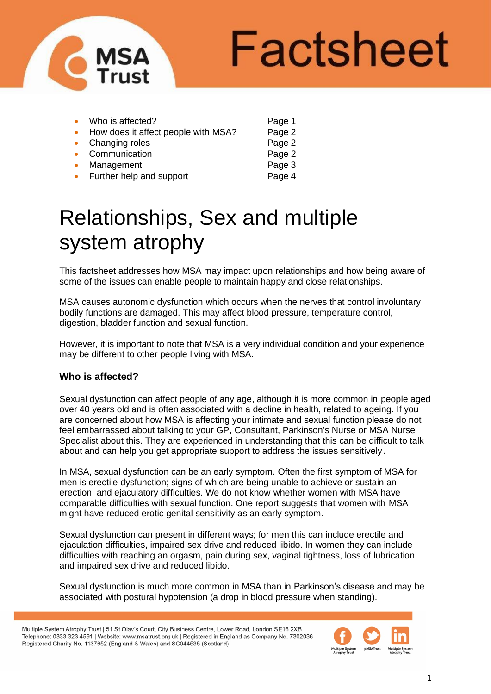

# Factsheet

|           | Who is affected?                    | Page 1 |
|-----------|-------------------------------------|--------|
|           | How does it affect people with MSA? | Page 2 |
|           | • Changing roles                    | Page 2 |
|           | Communication                       | Page 2 |
|           | Management                          | Page 3 |
| $\bullet$ | Further help and support            | Page 4 |
|           |                                     |        |

# Relationships, Sex and multiple system atrophy

This factsheet addresses how MSA may impact upon relationships and how being aware of some of the issues can enable people to maintain happy and close relationships.

MSA causes autonomic dysfunction which occurs when the nerves that control involuntary bodily functions are damaged. This may affect blood pressure, temperature control, digestion, bladder function and sexual function.

However, it is important to note that MSA is a very individual condition and your experience may be different to other people living with MSA.

## **Who is affected?**

Sexual dysfunction can affect people of any age, although it is more common in people aged over 40 years old and is often associated with a decline in health, related to ageing. If you are concerned about how MSA is affecting your intimate and sexual function please do not feel embarrassed about talking to your GP, Consultant, Parkinson's Nurse or MSA Nurse Specialist about this. They are experienced in understanding that this can be difficult to talk about and can help you get appropriate support to address the issues sensitively.

In MSA, sexual dysfunction can be an early symptom. Often the first symptom of MSA for men is erectile dysfunction; signs of which are being unable to achieve or sustain an erection, and ejaculatory difficulties. We do not know whether women with MSA have comparable difficulties with sexual function. One report suggests that women with MSA might have reduced erotic genital sensitivity as an early symptom.

Sexual dysfunction can present in different ways; for men this can include erectile and ejaculation difficulties, impaired sex drive and reduced libido. In women they can include difficulties with reaching an orgasm, pain during sex, vaginal tightness, loss of lubrication and impaired sex drive and reduced libido.

Sexual dysfunction is much more common in MSA than in Parkinson's disease and may be associated with postural hypotension (a drop in blood pressure when standing).

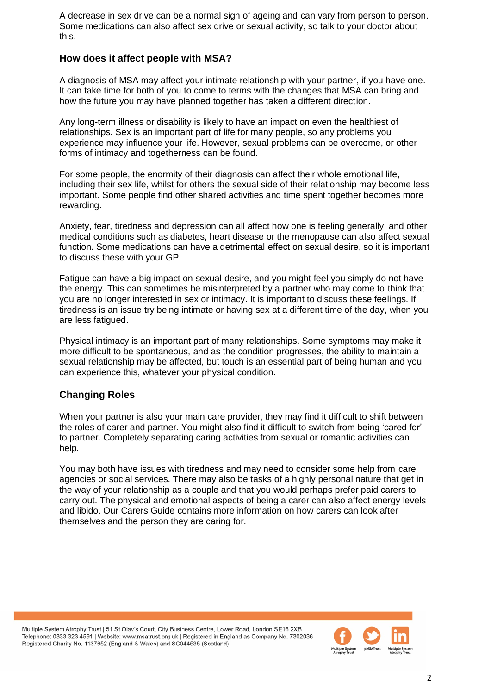A decrease in sex drive can be a normal sign of ageing and can vary from person to person. Some medications can also affect sex drive or sexual activity, so talk to your doctor about this.

#### **How does it affect people with MSA?**

A diagnosis of MSA may affect your intimate relationship with your partner, if you have one. It can take time for both of you to come to terms with the changes that MSA can bring and how the future you may have planned together has taken a different direction.

Any long-term illness or disability is likely to have an impact on even the healthiest of relationships. Sex is an important part of life for many people, so any problems you experience may influence your life. However, sexual problems can be overcome, or other forms of intimacy and togetherness can be found.

For some people, the enormity of their diagnosis can affect their whole emotional life, including their sex life, whilst for others the sexual side of their relationship may become less important. Some people find other shared activities and time spent together becomes more rewarding.

Anxiety, fear, tiredness and depression can all affect how one is feeling generally, and other medical conditions such as diabetes, heart disease or the menopause can also affect sexual function. Some medications can have a detrimental effect on sexual desire, so it is important to discuss these with your GP.

Fatigue can have a big impact on sexual desire, and you might feel you simply do not have the energy. This can sometimes be misinterpreted by a partner who may come to think that you are no longer interested in sex or intimacy. It is important to discuss these feelings. If tiredness is an issue try being intimate or having sex at a different time of the day, when you are less fatigued.

Physical intimacy is an important part of many relationships. Some symptoms may make it more difficult to be spontaneous, and as the condition progresses, the ability to maintain a sexual relationship may be affected, but touch is an essential part of being human and you can experience this, whatever your physical condition.

### **Changing Roles**

When your partner is also your main care provider, they may find it difficult to shift between the roles of carer and partner. You might also find it difficult to switch from being 'cared for' to partner. Completely separating caring activities from sexual or romantic activities can help.

You may both have issues with tiredness and may need to consider some help from care agencies or social services. There may also be tasks of a highly personal nature that get in the way of your relationship as a couple and that you would perhaps prefer paid carers to carry out. The physical and emotional aspects of being a carer can also affect energy levels and libido. Our Carers Guide contains more information on how carers can look after themselves and the person they are caring for.

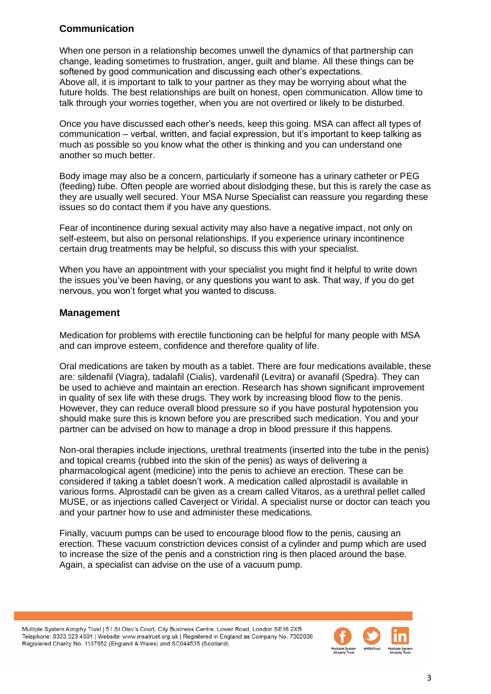# **Communication**

When one person in a relationship becomes unwell the dynamics of that partnership can change, leading sometimes to frustration, anger, guilt and blame. All these things can be softened by good communication and discussing each other's expectations. Above all, it is important to talk to your partner as they may be worrying about what the future holds. The best relationships are built on honest, open communication. Allow time to talk through your worries together, when you are not overtired or likely to be disturbed.

Once you have discussed each other's needs, keep this going. MSA can affect all types of communication – verbal, written, and facial expression, but it's important to keep talking as much as possible so you know what the other is thinking and you can understand one another so much better.

Body image may also be a concern, particularly if someone has a urinary catheter or PEG (feeding) tube. Often people are worried about dislodging these, but this is rarely the case as they are usually well secured. Your MSA Nurse Specialist can reassure you regarding these issues so do contact them if you have any questions.

Fear of incontinence during sexual activity may also have a negative impact, not only on self-esteem, but also on personal relationships. If you experience urinary incontinence certain drug treatments may be helpful, so discuss this with your specialist.

When you have an appointment with your specialist you might find it helpful to write down the issues you've been having, or any questions you want to ask. That way, if you do get nervous, you won't forget what you wanted to discuss.

### **Management**

Medication for problems with erectile functioning can be helpful for many people with MSA and can improve esteem, confidence and therefore quality of life.

Oral medications are taken by mouth as a tablet. There are four medications available, these are: sildenafil (Viagra), tadalafil (Cialis), vardenafil (Levitra) or avanafil (Spedra). They can be used to achieve and maintain an erection. Research has shown significant improvement in quality of sex life with these drugs. They work by increasing blood flow to the penis. However, they can reduce overall blood pressure so if you have postural hypotension you should make sure this is known before you are prescribed such medication. You and your partner can be advised on how to manage a drop in blood pressure if this happens.

Non-oral therapies include injections, urethral treatments (inserted into the tube in the penis) and topical creams (rubbed into the skin of the penis) as ways of delivering a pharmacological agent (medicine) into the penis to achieve an erection. These can be considered if taking a tablet doesn't work. A medication called alprostadil is available in various forms. Alprostadil can be given as a cream called Vitaros, as a urethral pellet called MUSE, or as injections called Caverject or Viridal. A specialist nurse or doctor can teach you and your partner how to use and administer these medications.

Finally, vacuum pumps can be used to encourage blood flow to the penis, causing an erection. These vacuum constriction devices consist of a cylinder and pump which are used to increase the size of the penis and a constriction ring is then placed around the base. Again, a specialist can advise on the use of a vacuum pump.

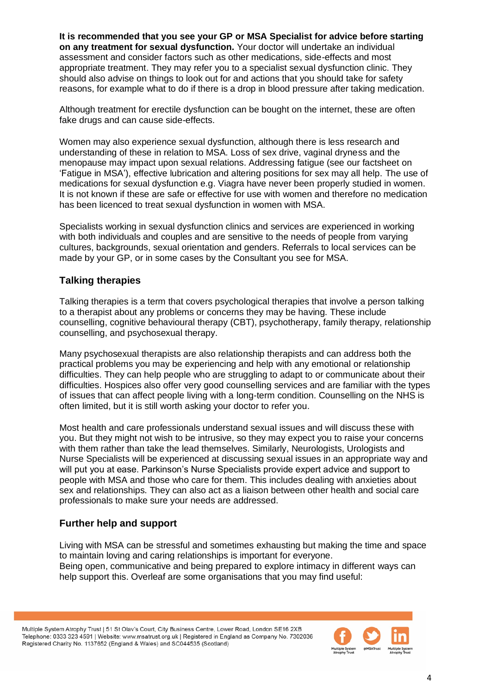**It is recommended that you see your GP or MSA Specialist for advice before starting on any treatment for sexual dysfunction.** Your doctor will undertake an individual assessment and consider factors such as other medications, side-effects and most appropriate treatment. They may refer you to a specialist sexual dysfunction clinic. They should also advise on things to look out for and actions that you should take for safety reasons, for example what to do if there is a drop in blood pressure after taking medication.

Although treatment for erectile dysfunction can be bought on the internet, these are often fake drugs and can cause side-effects.

Women may also experience sexual dysfunction, although there is less research and understanding of these in relation to MSA. Loss of sex drive, vaginal dryness and the menopause may impact upon sexual relations. Addressing fatigue (see our factsheet on 'Fatigue in MSA'), effective lubrication and altering positions for sex may all help. The use of medications for sexual dysfunction e.g. Viagra have never been properly studied in women. It is not known if these are safe or effective for use with women and therefore no medication has been licenced to treat sexual dysfunction in women with MSA.

Specialists working in sexual dysfunction clinics and services are experienced in working with both individuals and couples and are sensitive to the needs of people from varying cultures, backgrounds, sexual orientation and genders. Referrals to local services can be made by your GP, or in some cases by the Consultant you see for MSA.

### **Talking therapies**

Talking therapies is a term that covers psychological therapies that involve a person talking to a therapist about any problems or concerns they may be having. These include counselling, cognitive behavioural therapy (CBT), psychotherapy, family therapy, relationship counselling, and psychosexual therapy.

Many psychosexual therapists are also relationship therapists and can address both the practical problems you may be experiencing and help with any emotional or relationship difficulties. They can help people who are struggling to adapt to or communicate about their difficulties. Hospices also offer very good counselling services and are familiar with the types of issues that can affect people living with a long-term condition. Counselling on the NHS is often limited, but it is still worth asking your doctor to refer you.

Most health and care professionals understand sexual issues and will discuss these with you. But they might not wish to be intrusive, so they may expect you to raise your concerns with them rather than take the lead themselves. Similarly, Neurologists, Urologists and Nurse Specialists will be experienced at discussing sexual issues in an appropriate way and will put you at ease. Parkinson's Nurse Specialists provide expert advice and support to people with MSA and those who care for them. This includes dealing with anxieties about sex and relationships. They can also act as a liaison between other health and social care professionals to make sure your needs are addressed.

### **Further help and support**

Living with MSA can be stressful and sometimes exhausting but making the time and space to maintain loving and caring relationships is important for everyone. Being open, communicative and being prepared to explore intimacy in different ways can help support this. Overleaf are some organisations that you may find useful:

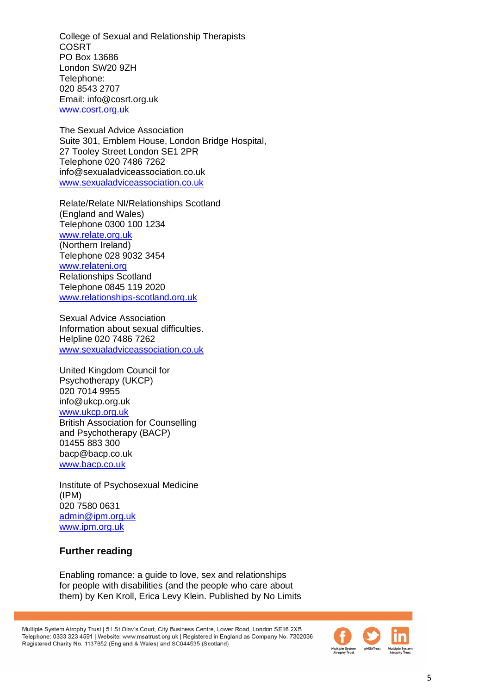College of Sexual and Relationship Therapists **COSRT** PO Box 13686 London SW20 9ZH Telephone: 020 8543 2707 Email: info@cosrt.org.uk [www.cosrt.org.uk](http://www.cosrt.org.uk/)

The Sexual Advice Association Suite 301, Emblem House, London Bridge Hospital, 27 Tooley Street London SE1 2PR Telephone 020 7486 7262 info@sexualadviceassociation.co.uk [www.sexualadviceassociation.co.uk](http://www.sexualadviceassociation.co.uk/)

Relate/Relate NI/Relationships Scotland (England and Wales) Telephone 0300 100 1234 [www.relate.org.uk](http://www.relate.org.uk/) (Northern Ireland) Telephone 028 9032 3454 [www.relateni.org](http://www.relateni.org/) Relationships Scotland Telephone 0845 119 2020 [www.relationships-scotland.org.uk](http://www.relationships-scotland.org.uk/)

Sexual Advice Association Information about sexual difficulties. Helpline 020 7486 7262 [www.sexualadviceassociation.co.uk](http://www.sexualadviceassociation.co.uk/)

United Kingdom Council for Psychotherapy (UKCP) 020 7014 9955 info@ukcp.org.uk [www.ukcp.org.uk](http://www.ukcp.org.uk/) British Association for Counselling and Psychotherapy (BACP) 01455 883 300 bacp@bacp.co.uk [www.bacp.co.uk](http://www.bacp.co.uk/)

Institute of Psychosexual Medicine (IPM) 020 7580 0631 [admin@ipm.org.uk](mailto:admin@ipm.org.uk) [www.ipm.org.uk](http://www.ipm.org.uk/)

### **Further reading**

Enabling romance: a guide to love, sex and relationships for people with disabilities (and the people who care about them) by Ken Kroll, Erica Levy Klein. Published by No Limits